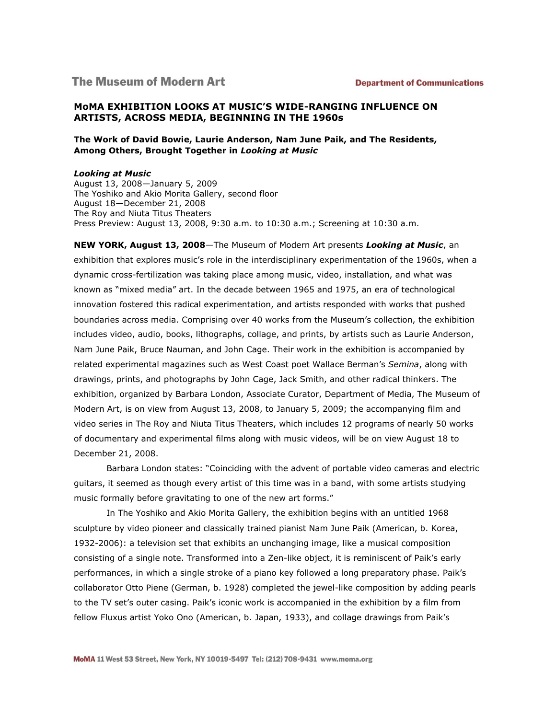# **The Museum of Modern Art**

# **MoMA EXHIBITION LOOKS AT MUSIC'S WIDE-RANGING INFLUENCE ON ARTISTS, ACROSS MEDIA, BEGINNING IN THE 1960s**

# **The Work of David Bowie, Laurie Anderson, Nam June Paik, and The Residents, Among Others, Brought Together in** *Looking at Music*

#### *Looking at Music*

August 13, 2008—January 5, 2009 The Yoshiko and Akio Morita Gallery, second floor August 18—December 21, 2008 The Roy and Niuta Titus Theaters Press Preview: August 13, 2008, 9:30 a.m. to 10:30 a.m.; Screening at 10:30 a.m.

**NEW YORK, August 13, 2008**—The Museum of Modern Art presents *Looking at Music*, an exhibition that explores music's role in the interdisciplinary experimentation of the 1960s, when a dynamic cross-fertilization was taking place among music, video, installation, and what was known as "mixed media" art. In the decade between 1965 and 1975, an era of technological innovation fostered this radical experimentation, and artists responded with works that pushed boundaries across media. Comprising over 40 works from the Museum's collection, the exhibition includes video, audio, books, lithographs, collage, and prints, by artists such as Laurie Anderson, Nam June Paik, Bruce Nauman, and John Cage. Their work in the exhibition is accompanied by related experimental magazines such as West Coast poet Wallace Berman's *Semina*, along with drawings, prints, and photographs by John Cage, Jack Smith, and other radical thinkers. The exhibition, organized by Barbara London, Associate Curator, Department of Media, The Museum of Modern Art, is on view from August 13, 2008, to January 5, 2009; the accompanying film and video series in The Roy and Niuta Titus Theaters, which includes 12 programs of nearly 50 works of documentary and experimental films along with music videos, will be on view August 18 to December 21, 2008.

Barbara London states: "Coinciding with the advent of portable video cameras and electric guitars, it seemed as though every artist of this time was in a band, with some artists studying music formally before gravitating to one of the new art forms."

In The Yoshiko and Akio Morita Gallery, the exhibition begins with an untitled 1968 sculpture by video pioneer and classically trained pianist Nam June Paik (American, b. Korea, 1932-2006): a television set that exhibits an unchanging image, like a musical composition consisting of a single note. Transformed into a Zen-like object, it is reminiscent of Paik's early performances, in which a single stroke of a piano key followed a long preparatory phase. Paik's collaborator Otto Piene (German, b. 1928) completed the jewel-like composition by adding pearls to the TV set's outer casing. Paik's iconic work is accompanied in the exhibition by a film from fellow Fluxus artist Yoko Ono (American, b. Japan, 1933), and collage drawings from Paik's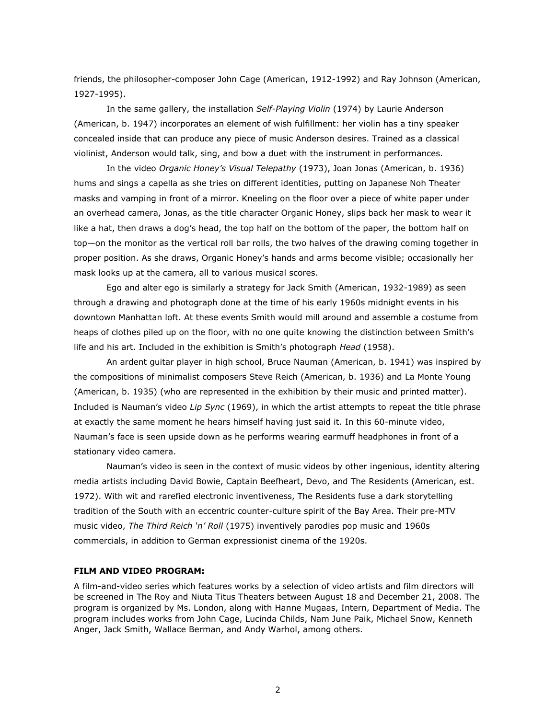friends, the philosopher-composer John Cage (American, 1912-1992) and Ray Johnson (American, 1927-1995).

In the same gallery, the installation *Self-Playing Violin* (1974) by Laurie Anderson (American, b. 1947) incorporates an element of wish fulfillment: her violin has a tiny speaker concealed inside that can produce any piece of music Anderson desires. Trained as a classical violinist, Anderson would talk, sing, and bow a duet with the instrument in performances.

In the video *Organic Honey's Visual Telepathy* (1973), Joan Jonas (American, b. 1936) hums and sings a capella as she tries on different identities, putting on Japanese Noh Theater masks and vamping in front of a mirror. Kneeling on the floor over a piece of white paper under an overhead camera, Jonas, as the title character Organic Honey, slips back her mask to wear it like a hat, then draws a dog's head, the top half on the bottom of the paper, the bottom half on top—on the monitor as the vertical roll bar rolls, the two halves of the drawing coming together in proper position. As she draws, Organic Honey's hands and arms become visible; occasionally her mask looks up at the camera, all to various musical scores.

Ego and alter ego is similarly a strategy for Jack Smith (American, 1932-1989) as seen through a drawing and photograph done at the time of his early 1960s midnight events in his downtown Manhattan loft. At these events Smith would mill around and assemble a costume from heaps of clothes piled up on the floor, with no one quite knowing the distinction between Smith's life and his art. Included in the exhibition is Smith's photograph *Head* (1958).

An ardent guitar player in high school, Bruce Nauman (American, b. 1941) was inspired by the compositions of minimalist composers Steve Reich (American, b. 1936) and La Monte Young (American, b. 1935) (who are represented in the exhibition by their music and printed matter). Included is Nauman's video *Lip Sync* (1969), in which the artist attempts to repeat the title phrase at exactly the same moment he hears himself having just said it. In this 60-minute video, Nauman's face is seen upside down as he performs wearing earmuff headphones in front of a stationary video camera.

Nauman's video is seen in the context of music videos by other ingenious, identity altering media artists including David Bowie, Captain Beefheart, Devo, and The Residents (American, est. 1972). With wit and rarefied electronic inventiveness, The Residents fuse a dark storytelling tradition of the South with an eccentric counter-culture spirit of the Bay Area. Their pre-MTV music video, *The Third Reich 'n' Roll* (1975) inventively parodies pop music and 1960s commercials, in addition to German expressionist cinema of the 1920s.

#### **FILM AND VIDEO PROGRAM:**

A film-and-video series which features works by a selection of video artists and film directors will be screened in The Roy and Niuta Titus Theaters between August 18 and December 21, 2008. The program is organized by Ms. London, along with Hanne Mugaas, Intern, Department of Media. The program includes works from John Cage, Lucinda Childs, Nam June Paik, Michael Snow, Kenneth Anger, Jack Smith, Wallace Berman, and Andy Warhol, among others.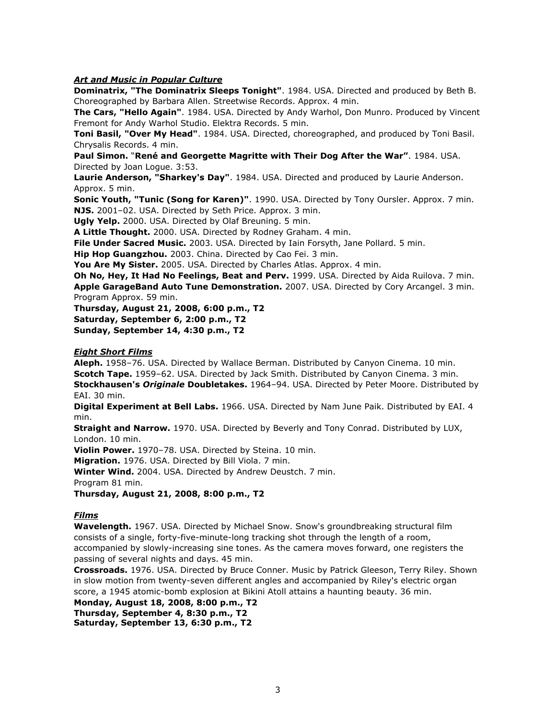# *Art and Music in Popular Culture*

**Dominatrix, "The Dominatrix Sleeps Tonight"**. 1984. USA. Directed and produced by Beth B. Choreographed by Barbara Allen. Streetwise Records. Approx. 4 min.

**The Cars, "Hello Again"**. 1984. USA. Directed by Andy Warhol, Don Munro. Produced by Vincent Fremont for Andy Warhol Studio. Elektra Records. 5 min.

**Toni Basil, "Over My Head"**. 1984. USA. Directed, choreographed, and produced by Toni Basil. Chrysalis Records. 4 min.

**Paul Simon.** "**René and Georgette Magritte with Their Dog After the War"**. 1984. USA. Directed by Joan Logue. 3:53.

**Laurie Anderson, "Sharkey's Day"**. 1984. USA. Directed and produced by Laurie Anderson. Approx. 5 min.

**Sonic Youth, "Tunic (Song for Karen)"**. 1990. USA. Directed by Tony Oursler. Approx. 7 min. **NJS.** 2001–02. USA. Directed by Seth Price. Approx. 3 min.

**Ugly Yelp.** 2000. USA. Directed by Olaf Breuning. 5 min.

**A Little Thought.** 2000. USA. Directed by Rodney Graham. 4 min.

**File Under Sacred Music.** 2003. USA. Directed by Iain Forsyth, Jane Pollard. 5 min.

**Hip Hop Guangzhou.** 2003. China. Directed by Cao Fei. 3 min.

**You Are My Sister.** 2005. USA. Directed by Charles Atlas. Approx. 4 min.

**Oh No, Hey, It Had No Feelings, Beat and Perv.** 1999. USA. Directed by Aida Ruilova. 7 min. **Apple GarageBand Auto Tune Demonstration.** 2007. USA. Directed by Cory Arcangel. 3 min. Program Approx. 59 min.

**Thursday, August 21, 2008, 6:00 p.m., T2**

**Saturday, September 6, 2:00 p.m., T2**

**Sunday, September 14, 4:30 p.m., T2**

### *Eight Short Films*

**Aleph.** 1958–76. USA. Directed by Wallace Berman. Distributed by Canyon Cinema. 10 min. **Scotch Tape.** 1959–62. USA. Directed by Jack Smith. Distributed by Canyon Cinema. 3 min. **Stockhausen's** *Originale* **Doubletakes.** 1964–94. USA. Directed by Peter Moore. Distributed by EAI. 30 min.

**Digital Experiment at Bell Labs.** 1966. USA. Directed by Nam June Paik. Distributed by EAI. 4 min.

**Straight and Narrow.** 1970. USA. Directed by Beverly and Tony Conrad. Distributed by LUX, London. 10 min.

**Violin Power.** 1970–78. USA. Directed by Steina. 10 min.

**Migration.** 1976. USA. Directed by Bill Viola. 7 min.

**Winter Wind.** 2004. USA. Directed by Andrew Deustch. 7 min.

Program 81 min.

**Thursday, August 21, 2008, 8:00 p.m., T2**

# *Films*

**Wavelength.** 1967. USA. Directed by Michael Snow. Snow's groundbreaking structural film consists of a single, forty-five-minute-long tracking shot through the length of a room, accompanied by slowly-increasing sine tones. As the camera moves forward, one registers the passing of several nights and days. 45 min.

**Crossroads.** 1976. USA. Directed by Bruce Conner. Music by Patrick Gleeson, Terry Riley. Shown in slow motion from twenty-seven different angles and accompanied by Riley's electric organ score, a 1945 atomic-bomb explosion at Bikini Atoll attains a haunting beauty. 36 min.

**Monday, August 18, 2008, 8:00 p.m., T2 Thursday, September 4, 8:30 p.m., T2 Saturday, September 13, 6:30 p.m., T2**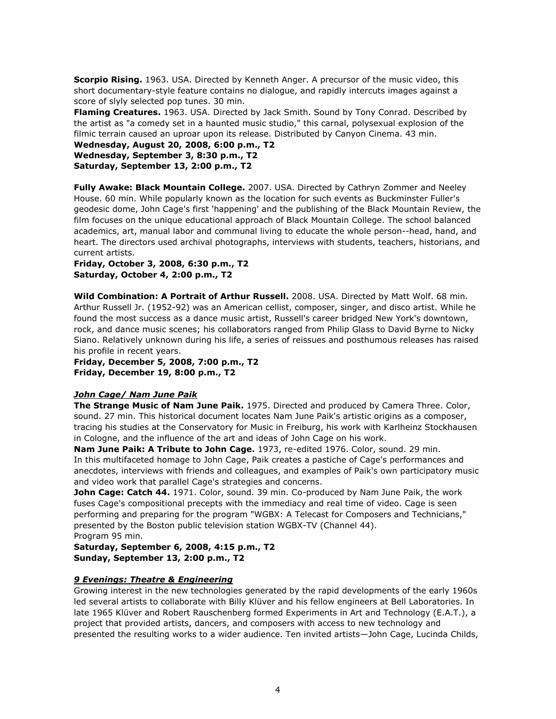**Scorpio Rising.** 1963. USA. Directed by Kenneth Anger. A precursor of the music video, this short documentary-style feature contains no dialogue, and rapidly intercuts images against a score of slyly selected pop tunes. 30 min.

**Flaming Creatures.** 1963. USA. Directed by Jack Smith. Sound by Tony Conrad. Described by the artist as "a comedy set in a haunted music studio," this carnal, polysexual explosion of the filmic terrain caused an uproar upon its release. Distributed by Canyon Cinema. 43 min.

**Wednesday, August 20, 2008, 6:00 p.m., T2 Wednesday, September 3, 8:30 p.m., T2 Saturday, September 13, 2:00 p.m., T2**

**Fully Awake: Black Mountain College.** 2007. USA. Directed by Cathryn Zommer and Neeley House. 60 min. While popularly known as the location for such events as Buckminster Fuller's geodesic dome, John Cage's first 'happening' and the publishing of the Black Mountain Review, the film focuses on the unique educational approach of Black Mountain College. The school balanced academics, art, manual labor and communal living to educate the whole person--head, hand, and heart. The directors used archival photographs, interviews with students, teachers, historians, and current artists.

**Friday, October 3, 2008, 6:30 p.m., T2 Saturday, October 4, 2:00 p.m., T2**

**Wild Combination: A Portrait of Arthur Russell.** 2008. USA. Directed by Matt Wolf. 68 min. Arthur Russell Jr. (1952-92) was an American cellist, composer, singer, and disco artist. While he found the most success as a dance music artist, Russell's career bridged New York's downtown, rock, and dance music scenes; his collaborators ranged from Philip Glass to David Byrne to Nicky Siano. Relatively unknown during his life, a series of reissues and posthumous releases has raised his profile in recent years.

**Friday, December 5, 2008, 7:00 p.m., T2 Friday, December 19, 8:00 p.m., T2**

# *John Cage/ Nam June Paik*

**The Strange Music of Nam June Paik.** 1975. Directed and produced by Camera Three. Color, sound. 27 min. This historical document locates Nam June Paik's artistic origins as a composer, tracing his studies at the Conservatory for Music in Freiburg, his work with Karlheinz Stockhausen in Cologne, and the influence of the art and ideas of John Cage on his work.

**Nam June Paik: A Tribute to John Cage.** 1973, re-edited 1976. Color, sound. 29 min. In this multifaceted homage to John Cage, Paik creates a pastiche of Cage's performances and anecdotes, interviews with friends and colleagues, and examples of Paik's own participatory music and video work that parallel Cage's strategies and concerns.

**John Cage: Catch 44.** 1971. Color, sound. 39 min. Co-produced by Nam June Paik, the work fuses Cage's compositional precepts with the immediacy and real time of video. Cage is seen performing and preparing for the program "WGBX: A Telecast for Composers and Technicians," presented by the Boston public television station WGBX-TV (Channel 44). Program 95 min.

**Saturday, September 6, 2008, 4:15 p.m., T2 Sunday, September 13, 2:00 p.m., T2**

# *9 Evenings: Theatre & Engineering*

Growing interest in the new technologies generated by the rapid developments of the early 1960s led several artists to collaborate with Billy Klüver and his fellow engineers at Bell Laboratories. In late 1965 Klüver and Robert Rauschenberg formed Experiments in Art and Technology (E.A.T.), a project that provided artists, dancers, and composers with access to new technology and presented the resulting works to a wider audience. Ten invited artists—John Cage, Lucinda Childs,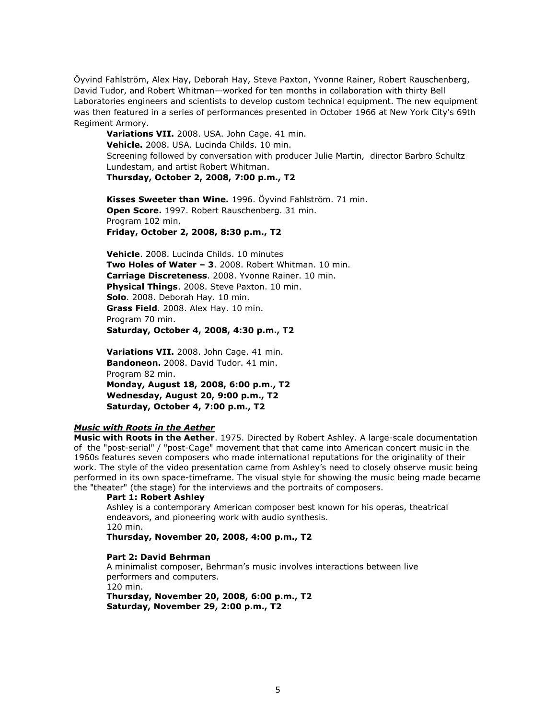Öyvind Fahlström, Alex Hay, Deborah Hay, Steve Paxton, Yvonne Rainer, Robert Rauschenberg, David Tudor, and Robert Whitman—worked for ten months in collaboration with thirty Bell Laboratories engineers and scientists to develop custom technical equipment. The new equipment was then featured in a series of performances presented in October 1966 at New York City's 69th Regiment Armory.

**Variations VII.** 2008. USA. John Cage. 41 min. **Vehicle.** 2008. USA. Lucinda Childs. 10 min. Screening followed by conversation with producer Julie Martin, director Barbro Schultz Lundestam, and artist Robert Whitman. **Thursday, October 2, 2008, 7:00 p.m., T2**

**Kisses Sweeter than Wine.** 1996. Öyvind Fahlström. 71 min. **Open Score.** 1997. Robert Rauschenberg. 31 min. Program 102 min. **Friday, October 2, 2008, 8:30 p.m., T2**

**Vehicle**. 2008. Lucinda Childs. 10 minutes **Two Holes of Water – 3**. 2008. Robert Whitman. 10 min. **Carriage Discreteness**. 2008. Yvonne Rainer. 10 min. **Physical Things**. 2008. Steve Paxton. 10 min. **Solo**. 2008. Deborah Hay. 10 min. **Grass Field**. 2008. Alex Hay. 10 min. Program 70 min. **Saturday, October 4, 2008, 4:30 p.m., T2**

**Variations VII.** 2008. John Cage. 41 min. **Bandoneon.** 2008. David Tudor. 41 min. Program 82 min. **Monday, August 18, 2008, 6:00 p.m., T2 Wednesday, August 20, 9:00 p.m., T2 Saturday, October 4, 7:00 p.m., T2**

#### *Music with Roots in the Aether*

**Music with Roots in the Aether**. 1975. Directed by Robert Ashley. A large-scale documentation of the "post-serial" / "post-Cage" movement that that came into American concert music in the 1960s features seven composers who made international reputations for the originality of their work. The style of the video presentation came from Ashley's need to closely observe music being performed in its own space-timeframe. The visual style for showing the music being made became the "theater" (the stage) for the interviews and the portraits of composers.

#### **Part 1: Robert Ashley**

Ashley is a contemporary American composer best known for his operas, theatrical endeavors, and pioneering work with audio synthesis. 120 min.

**Thursday, November 20, 2008, 4:00 p.m., T2**

#### **Part 2: David Behrman**

A minimalist composer, Behrman's music involves interactions between live performers and computers.

120 min.

**Thursday, November 20, 2008, 6:00 p.m., T2 Saturday, November 29, 2:00 p.m., T2**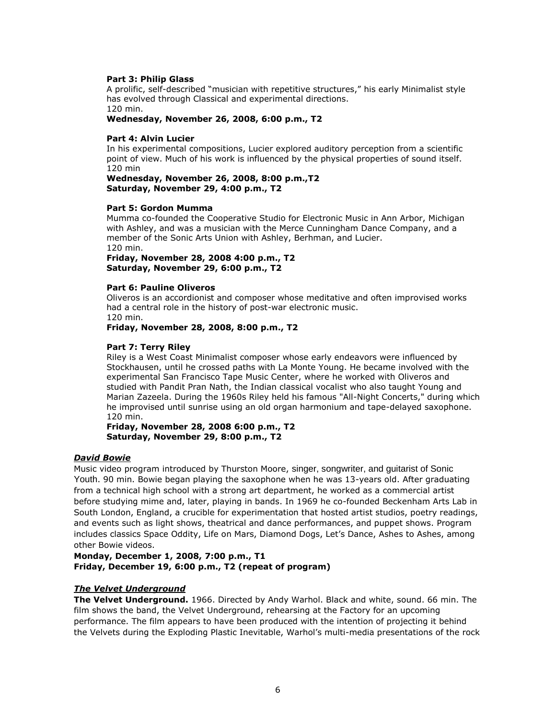### **Part 3: Philip Glass**

A prolific, self-described "musician with repetitive structures," his early Minimalist style has evolved through Classical and experimental directions. 120 min.

**Wednesday, November 26, 2008, 6:00 p.m., T2**

#### **Part 4: Alvin Lucier**

In his experimental compositions, Lucier explored auditory perception from a scientific point of view. Much of his work is influenced by the physical properties of sound itself. 120 min

**Wednesday, November 26, 2008, 8:00 p.m.,T2 Saturday, November 29, 4:00 p.m., T2**

#### **Part 5: Gordon Mumma**

Mumma co-founded the Cooperative Studio for Electronic Music in Ann Arbor, Michigan with Ashley, and was a musician with the Merce Cunningham Dance Company, and a member of the Sonic Arts Union with Ashley, Berhman, and Lucier. 120 min.

**Friday, November 28, 2008 4:00 p.m., T2 Saturday, November 29, 6:00 p.m., T2**

#### **Part 6: Pauline Oliveros**

Oliveros is an accordionist and composer whose meditative and often improvised works had a central role in the history of post-war electronic music. 120 min.

**Friday, November 28, 2008, 8:00 p.m., T2**

### **Part 7: Terry Riley**

Riley is a West Coast Minimalist composer whose early endeavors were influenced by Stockhausen, until he crossed paths with La Monte Young. He became involved with the experimental San Francisco Tape Music Center, where he worked with Oliveros and studied with Pandit Pran Nath, the Indian classical vocalist who also taught Young and Marian Zazeela. During the 1960s Riley held his famous "All-Night Concerts," during which he improvised until sunrise using an old organ harmonium and tape-delayed saxophone. 120 min.

**Friday, November 28, 2008 6:00 p.m., T2 Saturday, November 29, 8:00 p.m., T2**

#### *David Bowie*

Music video program introduced by Thurston Moore, singer, songwriter, and guitarist of Sonic Youth. 90 min. Bowie began playing the saxophone when he was 13-years old. After graduating from a technical high school with a strong art department, he worked as a commercial artist before studying mime and, later, playing in bands. In 1969 he co-founded Beckenham Arts Lab in South London, England, a crucible for experimentation that hosted artist studios, poetry readings, and events such as light shows, theatrical and dance performances, and puppet shows. Program includes classics Space Oddity, Life on Mars, Diamond Dogs, Let's Dance, Ashes to Ashes, among other Bowie videos.

**Monday, December 1, 2008, 7:00 p.m., T1 Friday, December 19, 6:00 p.m., T2 (repeat of program)**

# *The Velvet Underground*

**The Velvet Underground.** 1966. Directed by Andy Warhol. Black and white, sound. 66 min. The film shows the band, the Velvet Underground, rehearsing at the Factory for an upcoming performance. The film appears to have been produced with the intention of projecting it behind the Velvets during the Exploding Plastic Inevitable, Warhol's multi-media presentations of the rock